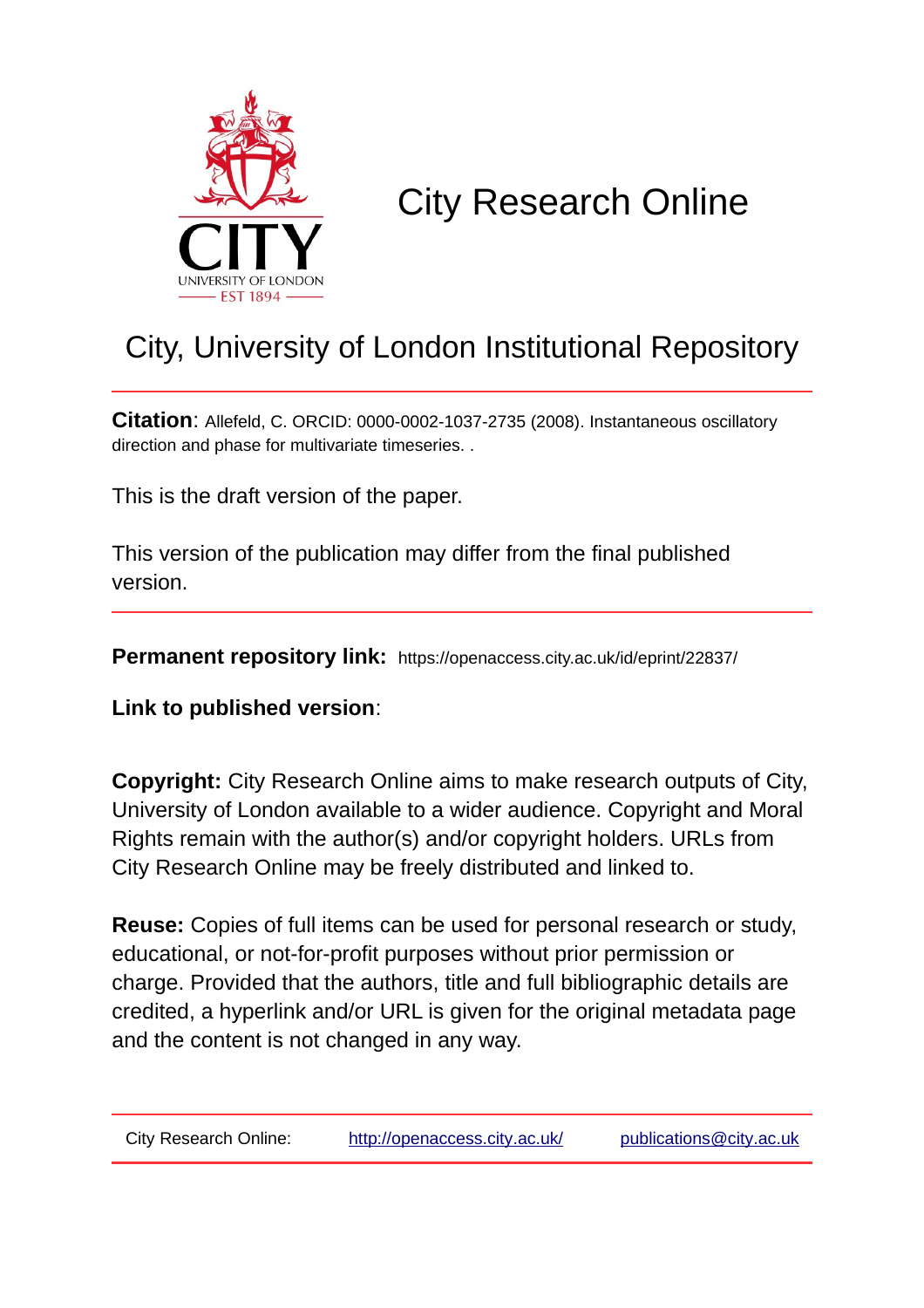

# City Research Online

## City, University of London Institutional Repository

**Citation**: Allefeld, C. ORCID: 0000-0002-1037-2735 (2008). Instantaneous oscillatory direction and phase for multivariate timeseries. .

This is the draft version of the paper.

This version of the publication may differ from the final published version.

**Permanent repository link:** https://openaccess.city.ac.uk/id/eprint/22837/

**Link to published version**:

**Copyright:** City Research Online aims to make research outputs of City, University of London available to a wider audience. Copyright and Moral Rights remain with the author(s) and/or copyright holders. URLs from City Research Online may be freely distributed and linked to.

**Reuse:** Copies of full items can be used for personal research or study, educational, or not-for-profit purposes without prior permission or charge. Provided that the authors, title and full bibliographic details are credited, a hyperlink and/or URL is given for the original metadata page and the content is not changed in any way.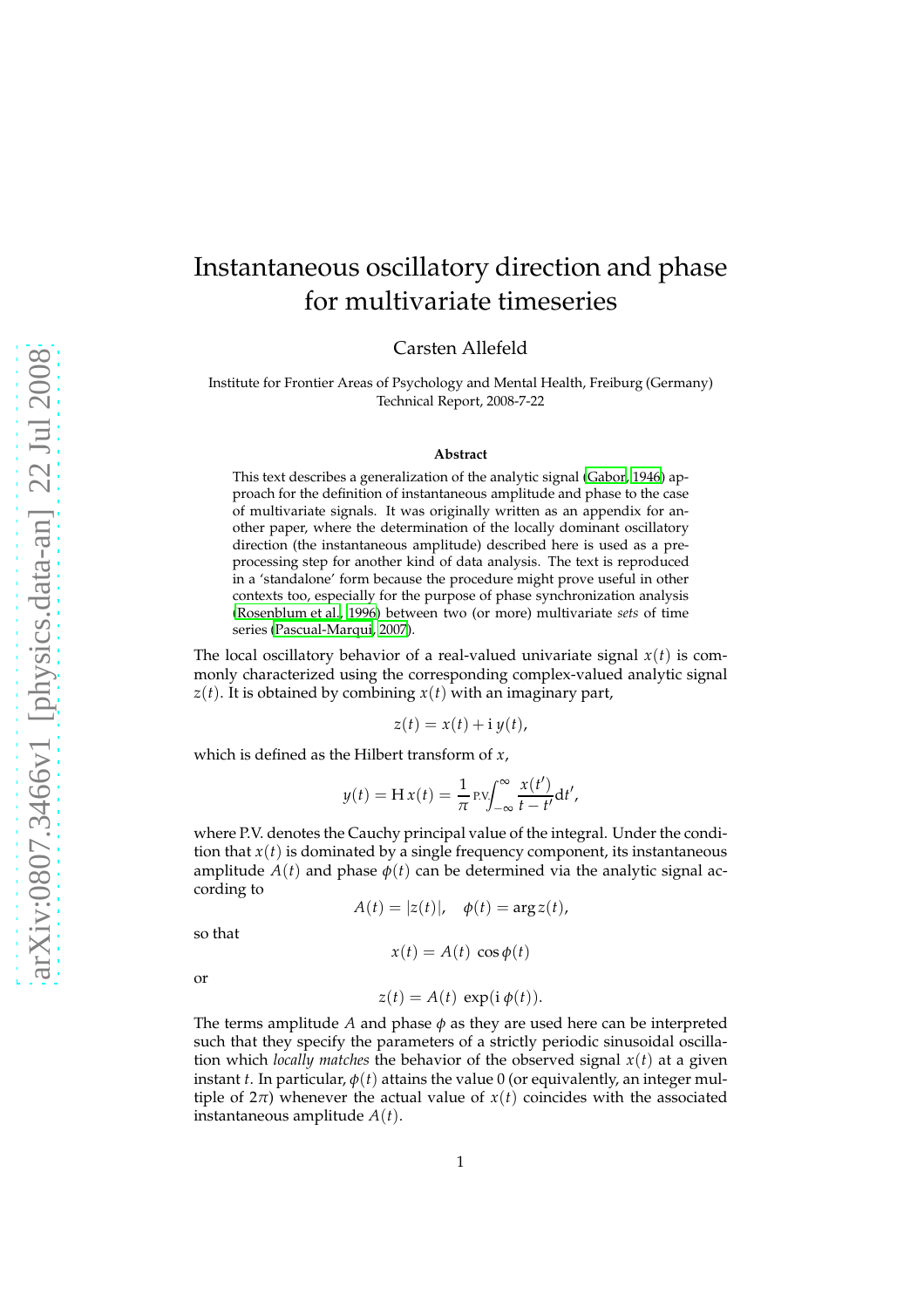## Instantaneous oscillatory direction and phase for multivariate timeseries

Carsten Allefeld

Institute for Frontier Areas of Psychology and Mental Health, Freiburg (Germany) Technical Report, 2008-7-22

#### **Abstract**

This text describes a generalization of the analytic signal [\(Gabor](#page-3-0), [1946](#page-3-0)) approach for the definition of instantaneous amplitude and phase to the case of multivariate signals. It was originally written as an appendix for another paper, where the determination of the locally dominant oscillatory direction (the instantaneous amplitude) described here is used as a preprocessing step for another kind of data analysis. The text is reproduced in a 'standalone' form because the procedure might prove useful in other contexts too, especially for the purpose of phase synchronization analysis [\(Rosenblum et al., 1996](#page-3-1)) between two (or more) multivariate *sets* of time series [\(Pascual-Marqui, 2007](#page-3-2)).

The local oscillatory behavior of a real-valued univariate signal  $x(t)$  is commonly characterized using the corresponding complex-valued analytic signal  $z(t)$ . It is obtained by combining  $x(t)$  with an imaginary part,

$$
z(t) = x(t) + i y(t),
$$

which is defined as the Hilbert transform of *x*,

$$
y(t) = \mathbf{H} x(t) = \frac{1}{\pi} \operatorname{pv} \int_{-\infty}^{\infty} \frac{x(t')}{t - t'} \mathrm{d}t',
$$

where P.V. denotes the Cauchy principal value of the integral. Under the condition that  $x(t)$  is dominated by a single frequency component, its instantaneous amplitude  $A(t)$  and phase  $\phi(t)$  can be determined via the analytic signal according to

$$
A(t) = |z(t)|, \quad \phi(t) = \arg z(t),
$$

so that

 $x(t) = A(t) \cos \phi(t)$ 

or

$$
z(t) = A(t) \exp(i \phi(t)).
$$

The terms amplitude *A* and phase *φ* as they are used here can be interpreted such that they specify the parameters of a strictly periodic sinusoidal oscillation which *locally matches* the behavior of the observed signal  $x(t)$  at a given instant *t*. In particular,  $\phi(t)$  attains the value 0 (or equivalently, an integer multiple of  $2\pi$ ) whenever the actual value of  $x(t)$  coincides with the associated instantaneous amplitude *A*(*t*).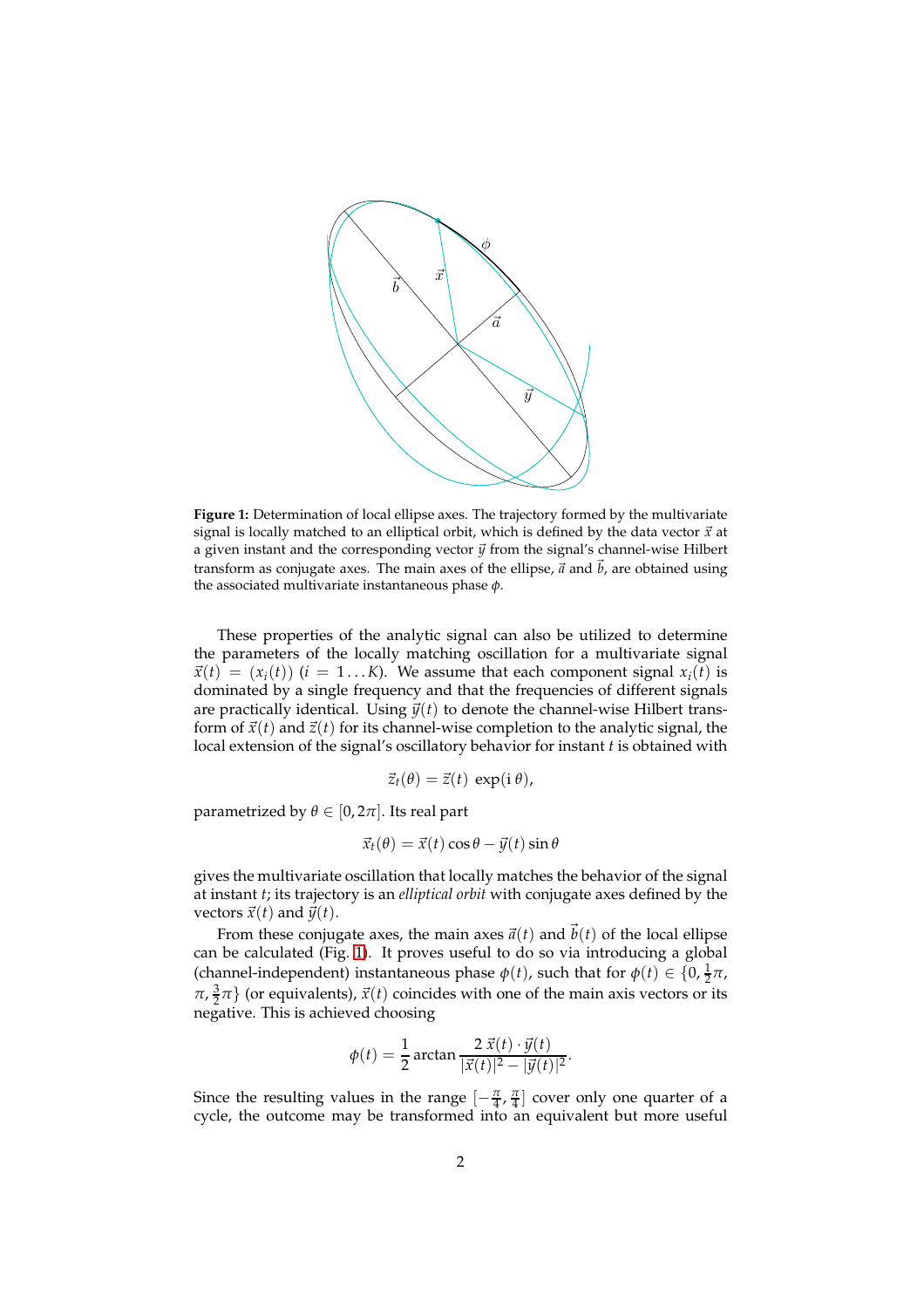

<span id="page-2-0"></span>**Figure 1:** Determination of local ellipse axes. The trajectory formed by the multivariate signal is locally matched to an elliptical orbit, which is defined by the data vector  $\vec{x}$  at a given instant and the corresponding vector  $\vec{y}$  from the signal's channel-wise Hilbert transform as conjugate axes. The main axes of the ellipse,  $\vec{a}$  and  $\vec{b}$ , are obtained using the associated multivariate instantaneous phase *φ*.

These properties of the analytic signal can also be utilized to determine the parameters of the locally matching oscillation for a multivariate signal  $\vec{x}(t) = (x_i(t))$  (*i* = 1...K). We assume that each component signal  $x_i(t)$  is dominated by a single frequency and that the frequencies of different signals are practically identical. Using  $\vec{v}(t)$  to denote the channel-wise Hilbert transform of  $\vec{x}(t)$  and  $\vec{z}(t)$  for its channel-wise completion to the analytic signal, the local extension of the signal's oscillatory behavior for instant *t* is obtained with

$$
\vec{z}_t(\theta) = \vec{z}(t) \, \exp(i \, \theta),
$$

parametrized by  $\theta \in [0, 2\pi]$ . Its real part

$$
\vec{x}_t(\theta) = \vec{x}(t)\cos\theta - \vec{y}(t)\sin\theta
$$

gives the multivariate oscillation that locally matches the behavior of the signal at instant *t*; its trajectory is an *elliptical orbit* with conjugate axes defined by the vectors  $\vec{x}(t)$  and  $\vec{y}(t)$ .

From these conjugate axes, the main axes  $\vec{a}(t)$  and  $\vec{b}(t)$  of the local ellipse can be calculated (Fig. [1\)](#page-2-0). It proves useful to do so via introducing a global (channel-independent) instantaneous phase  $\phi(t)$ , such that for  $\phi(t) \in \{0, \frac{1}{2}\pi, \frac{1}{2}\pi\}$  $\pi$ ,  $\frac{3}{2}\pi$ } (or equivalents),  $\vec{x}(t)$  coincides with one of the main axis vectors or its negative. This is achieved choosing

$$
\phi(t) = \frac{1}{2}\arctan\frac{2\,\vec{x}(t)\cdot\vec{y}(t)}{|\vec{x}(t)|^2 - |\vec{y}(t)|^2}.
$$

Since the resulting values in the range  $\left[-\frac{\pi}{4}, \frac{\pi}{4}\right]$  cover only one quarter of a cycle, the outcome may be transformed into an equivalent but more useful